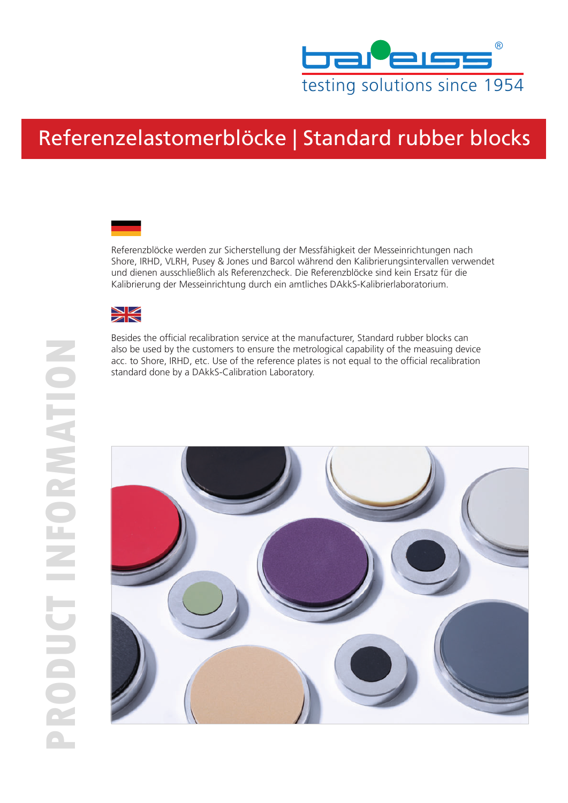

## Referenzelastomerblöcke | Standard rubber blocks





Besides the official recalibration service at the manufacturer, Standard rubber blocks can also be used by the customers to ensure the metrological capability of the measuing device acc. to Shore, IRHD, etc. Use of the reference plates is not equal to the official recalibration standard done by a DAkkS-Calibration Laboratory.